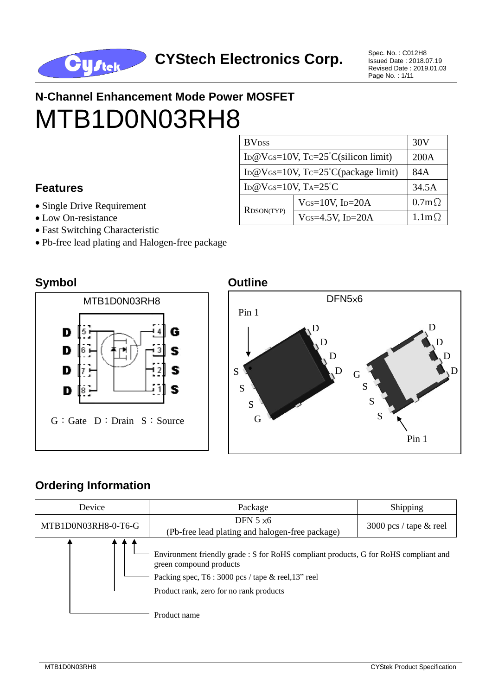

Issued Date : 2018.07.19 Revised Date : 2019.01.03 Page No. : 1/11

# **N-Channel Enhancement Mode Power MOSFET** MTB1D0N03RH8

#### **Features**

- Single Drive Requirement
- Low On-resistance
- Fast Switching Characteristic
- Pb-free lead plating and Halogen-free package

| <b>BV</b> <sub>DSS</sub>                           | 30V                |              |
|----------------------------------------------------|--------------------|--------------|
| ID@VGs=10V, $Tc=25^{\circ}C(\text{silicon limit})$ | 200A               |              |
| ID@VGs=10V, $Tc=25^{\circ}C$ (package limit)       | 84A                |              |
| ID@VGS=10V, $Ta=25^{\circ}C$                       | 34.5A              |              |
| RDSON(TYP)                                         | $V$ GS=10V, ID=20A | $0.7m\Omega$ |
|                                                    | VGS=4.5V, ID=20A   | $1.1m\Omega$ |

#### **Symbol Outline**





#### **Ordering Information**

| Device              | Package                                                                                                                                                                                                           | Shipping                 |  |  |
|---------------------|-------------------------------------------------------------------------------------------------------------------------------------------------------------------------------------------------------------------|--------------------------|--|--|
| MTB1D0N03RH8-0-T6-G | DFN $5 \times 6$<br>(Pb-free lead plating and halogen-free package)                                                                                                                                               | 3000 pcs / tape $&$ reel |  |  |
|                     | Environment friendly grade : S for RoHS compliant products, G for RoHS compliant and<br>green compound products<br>Packing spec, T6 : 3000 pcs / tape & reel, 13" reel<br>Product rank, zero for no rank products |                          |  |  |
|                     | Product name                                                                                                                                                                                                      |                          |  |  |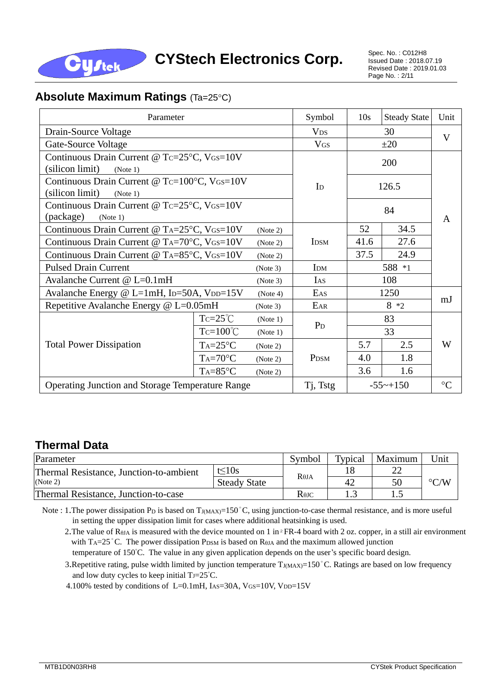

#### **Absolute Maximum Ratings (Ta=25°C)**

| Parameter                                                                   | Symbol                                                       | 10 <sub>s</sub>      | <b>Steady State</b> | Unit   |             |                 |  |
|-----------------------------------------------------------------------------|--------------------------------------------------------------|----------------------|---------------------|--------|-------------|-----------------|--|
| Drain-Source Voltage                                                        | <b>V<sub>DS</sub></b>                                        | 30                   |                     | V      |             |                 |  |
| Gate-Source Voltage                                                         |                                                              |                      | <b>VGS</b>          |        |             |                 |  |
| Continuous Drain Current @ Tc=25°C, VGS=10V                                 |                                                              |                      |                     |        | 200         |                 |  |
| (silicon limit)<br>(Note 1)                                                 |                                                              |                      |                     |        |             |                 |  |
| Continuous Drain Current @ Tc=100°C, VGS=10V<br>(silicon limit)<br>(Note 1) |                                                              |                      | $\mathbf{I}$        | 126.5  |             |                 |  |
| Continuous Drain Current @ Tc=25°C, VGS=10V<br>(package)                    |                                                              |                      |                     |        |             |                 |  |
| (Note 1)                                                                    |                                                              |                      |                     | 52     | 34.5        | A               |  |
| Continuous Drain Current @ TA=25°C, VGS=10V                                 |                                                              | (Note 2)<br>(Note 2) |                     |        |             |                 |  |
| Continuous Drain Current @ TA=70°C, VGS=10V                                 | <b>IDSM</b>                                                  | 41.6                 | 27.6                |        |             |                 |  |
| Continuous Drain Current @ TA=85°C, VGS=10V                                 |                                                              | 37.5                 | 24.9                |        |             |                 |  |
| <b>Pulsed Drain Current</b><br>(Note 3)                                     |                                                              |                      | IDM                 |        |             |                 |  |
| Avalanche Current @ L=0.1mH                                                 |                                                              | (Note 3)             | IAS                 | 108    |             |                 |  |
|                                                                             | Avalanche Energy @ L=1mH, ID=50A, VDD=15V<br>EAS<br>(Note 4) |                      |                     | 1250   |             |                 |  |
| Repetitive Avalanche Energy $@$ L=0.05mH                                    |                                                              | (Note 3)             | EAR                 | $8 *2$ |             | mJ              |  |
|                                                                             | $Tc=25^{\circ}C$                                             | (Note 1)             |                     | 83     |             |                 |  |
|                                                                             | $Tc=100^{\circ}C$                                            | (Note 1)             | $P_{D}$             | 33     |             |                 |  |
| <b>Total Power Dissipation</b>                                              | $Ta=25^{\circ}C$                                             | (Note 2)             | P <sub>DSM</sub>    | 5.7    | 2.5         | W               |  |
|                                                                             | $Ta=70^{\circ}C$                                             | (Note 2)             |                     | 4.0    | 1.8         |                 |  |
|                                                                             | $Ta=85^{\circ}C$                                             | (Note 2)             |                     | 3.6    | 1.6         |                 |  |
| <b>Operating Junction and Storage Temperature Range</b>                     |                                                              |                      | Tj, Tstg            |        | $-55$ ~+150 | $\rm ^{\circ}C$ |  |

#### **Thermal Data**

| Parameter                               | Symbol                               | Typical      | Maximum | Unit |                    |
|-----------------------------------------|--------------------------------------|--------------|---------|------|--------------------|
| Thermal Resistance, Junction-to-ambient | t<10s                                | $R\theta$ JA |         | າາ   | $\rm ^{\circ} C/W$ |
| (Note 2)                                | <b>Steady State</b>                  |              | 42      | 50   |                    |
| Thermal Resistance, Junction-to-case    | $R$ <sup><math>\theta</math>JC</sup> |              | ن .     |      |                    |

Note : 1. The power dissipation Pp is based on  $T_{J(MAX)=150}^{\circ}$ C, using junction-to-case thermal resistance, and is more useful in setting the upper dissipation limit for cases where additional heatsinking is used.

2. The value of RθJA is measured with the device mounted on 1 in<sup>2</sup> FR-4 board with 2 oz. copper, in a still air environment with  $T_A=25^\circ$  C. The power dissipation P<sub>DSM</sub> is based on R<sub>θJA</sub> and the maximum allowed junction temperature of 150°C. The value in any given application depends on the user's specific board design.

3. Repetitive rating, pulse width limited by junction temperature TJ(MAX)=150°C. Ratings are based on low frequency and low duty cycles to keep initial  $TJ=25^{\circ}C$ .

4.100% tested by conditions of L=0.1mH, IAs=30A, VGS=10V, VDD=15V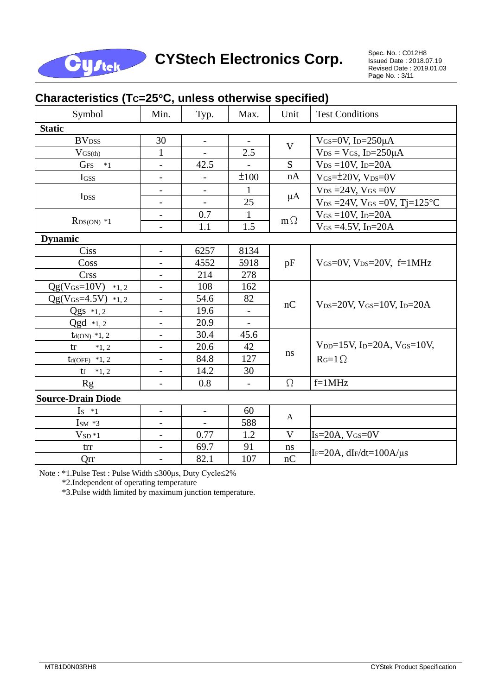

## CYStech Electronics Corp. Spec. No. : C012H8

Issued Date : 2018.07.19 Revised Date : 2019.01.03 Page No. : 3/11

| Symbol                     | Min.                         | Typ.                     | Max.         | Unit        | <b>Test Conditions</b>                                              |  |  |  |
|----------------------------|------------------------------|--------------------------|--------------|-------------|---------------------------------------------------------------------|--|--|--|
| <b>Static</b>              |                              |                          |              |             |                                                                     |  |  |  |
| <b>BV</b> <sub>DSS</sub>   | 30                           | -                        |              |             | VGS=0V, $I_D=250\mu A$                                              |  |  |  |
| $V_{GS(th)}$               | $\mathbf{1}$                 | $\overline{a}$           | 2.5          | $\mathbf V$ | $V_{DS} = V_{GS}$ , I <sub>D</sub> =250 $\mu$ A                     |  |  |  |
| G <sub>FS</sub><br>$*1$    | $\overline{a}$               | 42.5                     |              | S           | $V_{DS} = 10V$ , I <sub>D</sub> =20A                                |  |  |  |
| IGSS                       |                              | $\overline{a}$           | ±100         | nA          | $V$ <sub>GS</sub> $=\pm 20V$ , $V_{DS}=0V$                          |  |  |  |
|                            | $\overline{\phantom{a}}$     | $\overline{\phantom{0}}$ | 1            |             | $V_{DS} = 24V$ , $V_{GS} = 0V$                                      |  |  |  |
| I <sub>DSS</sub>           | $\overline{\phantom{a}}$     |                          | 25           | $\mu A$     | $V_{DS} = 24V$ , $V_{GS} = 0V$ , Tj=125°C                           |  |  |  |
|                            | $\qquad \qquad -$            | 0.7                      | $\mathbf{1}$ |             | $V$ <sub>GS</sub> = 10V, I <sub>D</sub> =20A                        |  |  |  |
| $R_{DS(ON)} *1$            | $\overline{a}$               | 1.1                      | 1.5          | $m\Omega$   | $V_{GS} = 4.5V$ , I <sub>D</sub> =20A                               |  |  |  |
| <b>Dynamic</b>             |                              |                          |              |             |                                                                     |  |  |  |
| <b>Ciss</b>                | $\overline{a}$               | 6257                     | 8134         |             |                                                                     |  |  |  |
| Coss                       |                              | 4552                     | 5918         | pF          | $V_{GS}=0V$ , $V_{DS}=20V$ , $f=1MHz$                               |  |  |  |
| <b>Crss</b>                | $\qquad \qquad \blacksquare$ | 214                      | 278          |             |                                                                     |  |  |  |
| $Qg(V_{GS}=10V)$ *1, 2     | $\overline{\phantom{0}}$     | 108                      | 162          |             |                                                                     |  |  |  |
| $Qg(V_{GS}=4.5V)$ *1, 2    | $\overline{\phantom{a}}$     | 54.6                     | 82           | nC          |                                                                     |  |  |  |
| $Qgs *1, 2$                | $\qquad \qquad -$            | 19.6                     |              |             | $V_{DS}=20V$ , $V_{GS}=10V$ , $I_{D}=20A$                           |  |  |  |
| $Qgd *1,2$                 | $\overline{\phantom{0}}$     | 20.9                     |              |             |                                                                     |  |  |  |
| $td(ON) *1, 2$             |                              | 30.4                     | 45.6         |             |                                                                     |  |  |  |
| tr<br>$*1, 2$              | $\overline{\phantom{a}}$     | 20.6                     | 42           |             | $V_{DD} = 15V$ , I <sub>D</sub> $= 20A$ , V <sub>GS</sub> $= 10V$ , |  |  |  |
| $td(OFF)$ *1, 2            | $\overline{\phantom{0}}$     | 84.8                     | 127          | $\bf ns$    | $Rg=1\Omega$                                                        |  |  |  |
| $\mathsf{t}$ $f \ast 1, 2$ | $\qquad \qquad -$            | 14.2                     | 30           |             |                                                                     |  |  |  |
| <b>Rg</b>                  |                              | $0.8\,$                  |              | $\Omega$    | $f=1MHz$                                                            |  |  |  |
| <b>Source-Drain Diode</b>  |                              |                          |              |             |                                                                     |  |  |  |
| $Is *1$                    | $\overline{\phantom{a}}$     | $\blacksquare$           | 60           |             |                                                                     |  |  |  |
| $\text{I}^*$ 3             | $\overline{\phantom{a}}$     | $\overline{\phantom{0}}$ | 588          | A           |                                                                     |  |  |  |
| $VSD*1$                    | $\qquad \qquad -$            | 0.77                     | 1.2          | $\mathbf V$ | $Is=20A, VGS=0V$                                                    |  |  |  |
| trr                        | $\frac{1}{2}$                | 69.7                     | 91           | ns          |                                                                     |  |  |  |
| Qrr                        | $\qquad \qquad -$            | 82.1                     | 107          | nC          | IF=20A, $dF/dt=100A/\mu s$                                          |  |  |  |

#### **Characteristics (TC=25C, unless otherwise specified)**

Note : \*1.Pulse Test : Pulse Width 300μs, Duty Cycle2%

\*2.Independent of operating temperature

\*3.Pulse width limited by maximum junction temperature.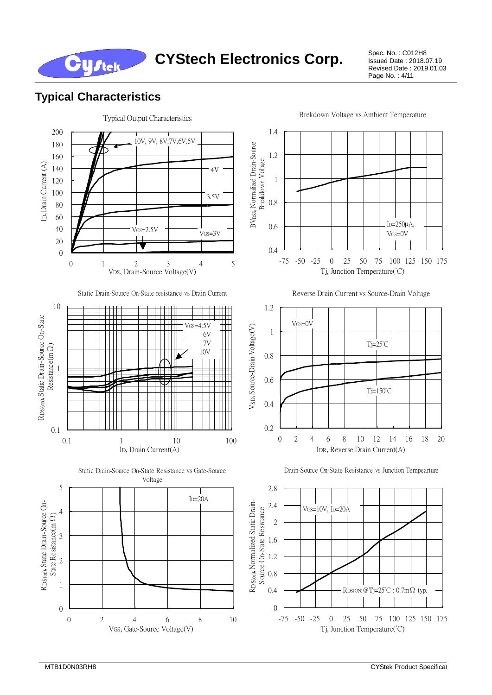Issued Date : 2018.07.19 Revised Date : 2019.01.03 Page No. : 4/11

#### **Typical Characteristics**

**Cystek** 

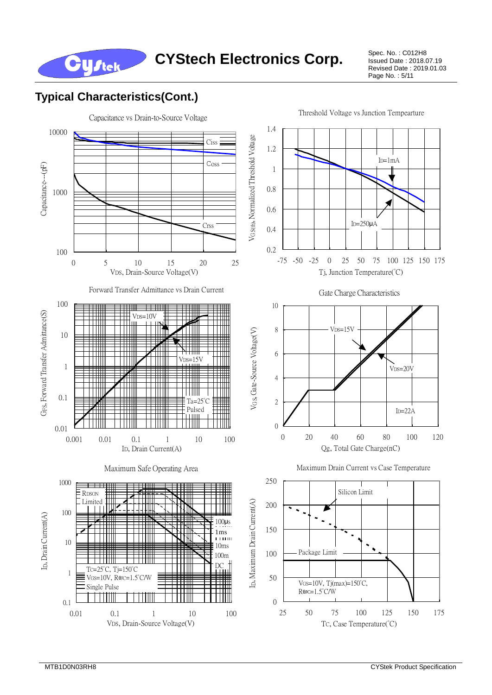

Issued Date : 2018.07.19 Revised Date : 2019.01.03 Page No. : 5/11

### **Typical Characteristics(Cont.)**

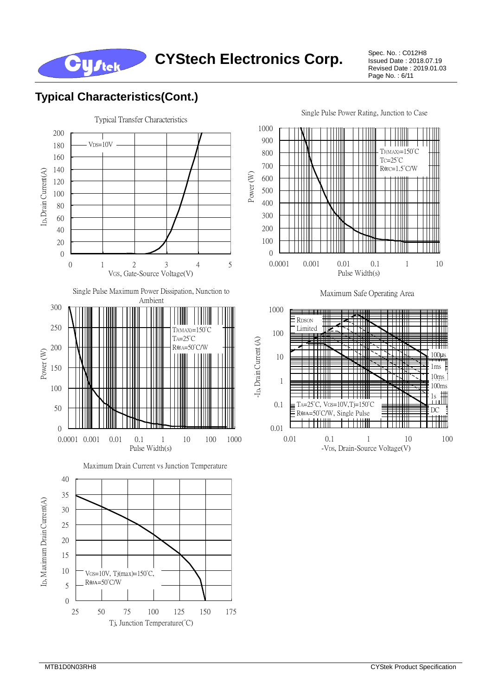

Issued Date : 2018.07.19 Revised Date : 2019.01.03 Page No. : 6/11



**Cystek** 





Single Pulse Power Rating, Junction to Case



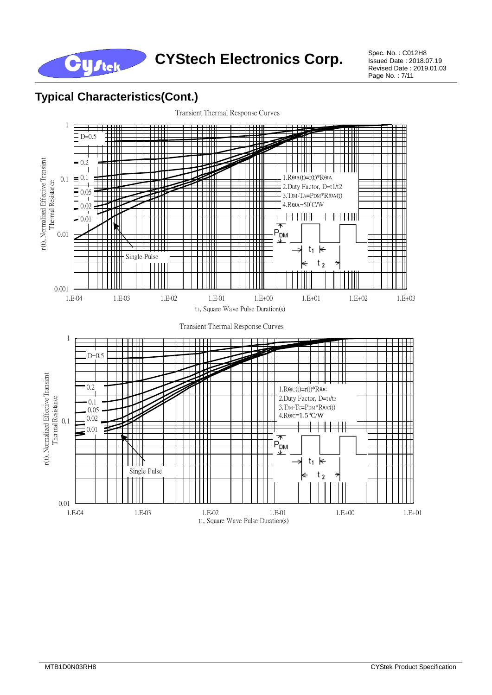CYStech Electronics Corp. Spec. No. : C012H8

Issued Date : 2018.07.19 Revised Date : 2019.01.03 Page No. : 7/11

#### **Typical Characteristics(Cont.)**

**Cystek** 

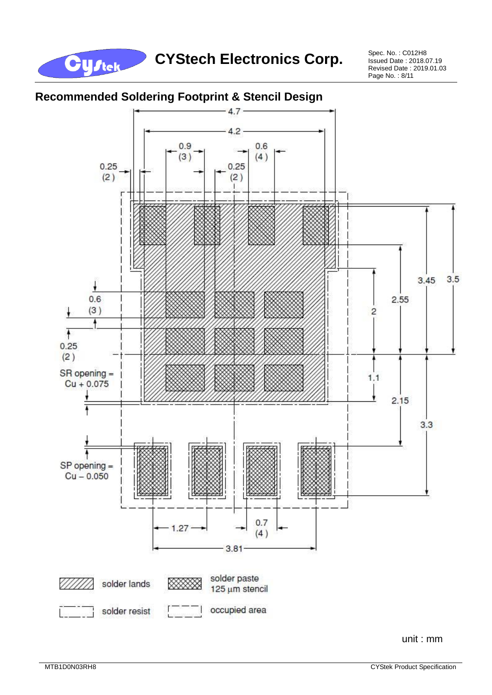

Issued Date : 2018.07.19 Revised Date : 2019.01.03 Page No. : 8/11



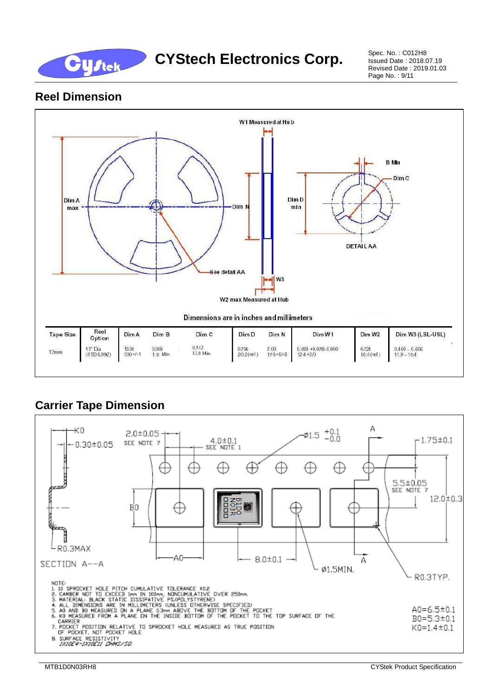

#### **Reel Dimension**



## **Carrier Tape Dimension**

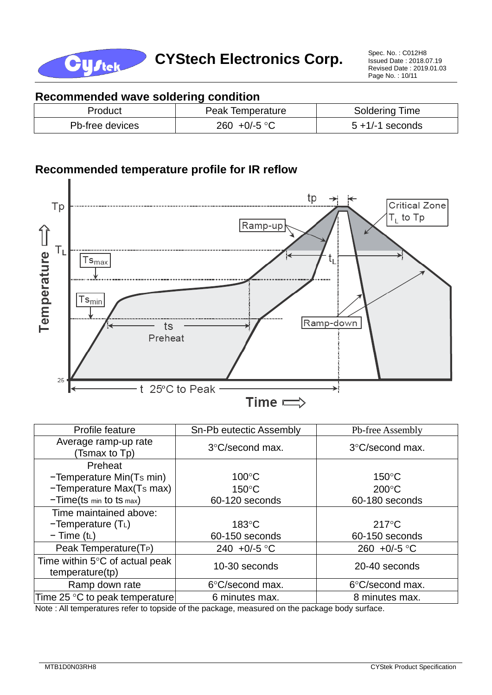

Issued Date : 2018.07.19 Revised Date : 2019.01.03 Page No. : 10/11

#### **Recommended wave soldering condition**

| Product         | Peak Temperature      | Soldering Time     |
|-----------------|-----------------------|--------------------|
| Pb-free devices | 260 +0/-5 $\degree$ C | $5 + 1/-1$ seconds |

#### **Recommended temperature profile for IR reflow**



| Profile feature                                   | Sn-Pb eutectic Assembly | Pb-free Assembly       |  |
|---------------------------------------------------|-------------------------|------------------------|--|
| Average ramp-up rate<br>(Tsmax to Tp)             | 3°C/second max.         | 3°C/second max.        |  |
| Preheat                                           |                         |                        |  |
| -Temperature Min(Ts min)                          | $100^{\circ}$ C         | $150^{\circ}$ C        |  |
| -Temperature Max(Ts max)                          | $150^{\circ}$ C         | $200^{\circ}$ C        |  |
| $-Time(ts \text{ min} to ts \text{ max})$         | 60-120 seconds          | 60-180 seconds         |  |
| Time maintained above:                            |                         |                        |  |
| $-Temperature(TL)$                                | $183^{\circ}$ C         | $217^{\circ}$ C        |  |
| $-$ Time (t <sub>L</sub> )                        | 60-150 seconds          | 60-150 seconds         |  |
| Peak Temperature(T <sub>P</sub> )                 | 240 +0/-5 °C            | 260 +0/-5 $^{\circ}$ C |  |
| Time within 5°C of actual peak<br>temperature(tp) | 10-30 seconds           | 20-40 seconds          |  |
| Ramp down rate                                    | 6°C/second max.         | 6°C/second max.        |  |
| Time 25 °C to peak temperature                    | 6 minutes max.          | 8 minutes max.         |  |

Note : All temperatures refer to topside of the package, measured on the package body surface.